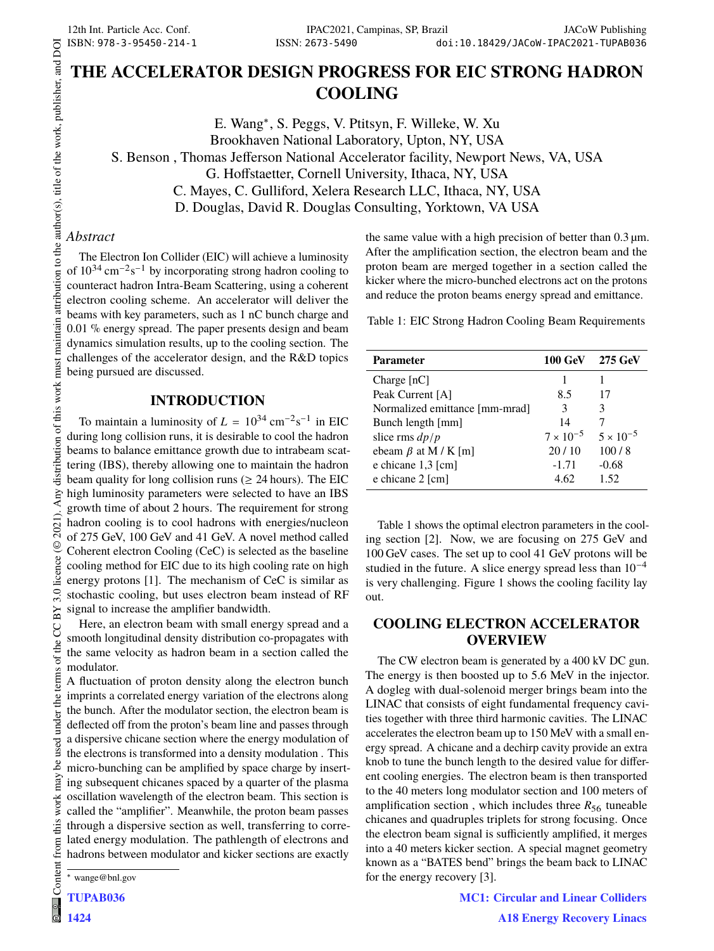# **THE ACCELERATOR DESIGN PROGRESS FOR EIC STRONG HADRON COOLING**

E. Wang<sup>∗</sup> , S. Peggs, V. Ptitsyn, F. Willeke, W. Xu Brookhaven National Laboratory, Upton, NY, USA S. Benson , Thomas Jefferson National Accelerator facility, Newport News, VA, USA G. Hoffstaetter, Cornell University, Ithaca, NY, USA C. Mayes, C. Gulliford, Xelera Research LLC, Ithaca, NY, USA D. Douglas, David R. Douglas Consulting, Yorktown, VA USA

## *Abstract*

The Electron Ion Collider (EIC) will achieve a luminosity of  $10^{34}$  cm<sup>-2</sup>s<sup>-1</sup> by incorporating strong hadron cooling to counteract hadron Intra-Beam Scattering, using a coherent electron cooling scheme. An accelerator will deliver the beams with key parameters, such as 1 nC bunch charge and 0.01 % energy spread. The paper presents design and beam dynamics simulation results, up to the cooling section. The challenges of the accelerator design, and the R&D topics being pursued are discussed.

## **INTRODUCTION**

To maintain a luminosity of  $L = 10^{34} \text{ cm}^{-2} \text{s}^{-1}$  in EIC during long collision runs, it is desirable to cool the hadron beams to balance emittance growth due to intrabeam scattering (IBS), thereby allowing one to maintain the hadron beam quality for long collision runs ( $\geq 24$  hours). The EIC high luminosity parameters were selected to have an IBS growth time of about 2 hours. The requirement for strong hadron cooling is to cool hadrons with energies/nucleon of 275 GeV, 100 GeV and 41 GeV. A novel method called Coherent electron Cooling (CeC) is selected as the baseline cooling method for EIC due to its high cooling rate on high energy protons [1]. The mechanism of CeC is similar as stochastic cooling, but uses electron beam instead of RF signal to increase the amplifier bandwidth.

Here, an electron beam with small energy spread and a smooth longitudinal density distribution co-propagates with the same velocity as hadron beam in a section called the modulator.

A fluctuation of proton density along the electron bunch imprints a correlated energy variation of the electrons along the bunch. After the modulator section, the electron beam is deflected off from the proton's beam line and passes through a dispersive chicane section where the energy modulation of the electrons is transformed into a density modulation . This micro-bunching can be amplified by space charge by inserting subsequent chicanes spaced by a quarter of the plasma oscillation wavelength of the electron beam. This section is called the "amplifier". Meanwhile, the proton beam passes through a dispersive section as well, transferring to correlated energy modulation. The pathlength of electrons and hadrons between modulator and kicker sections are exactly

TUPAB036

1424

Content

e<br>ଜ

under the

used Ъe may work this from (

the same value with a high precision of better than  $0.3 \mu m$ . After the amplification section, the electron beam and the proton beam are merged together in a section called the kicker where the micro-bunched electrons act on the protons and reduce the proton beams energy spread and emittance.

Table 1: EIC Strong Hadron Cooling Beam Requirements

| Parameter                      | 100 GeV 275 GeV    |                    |
|--------------------------------|--------------------|--------------------|
| Charge $[nC]$                  |                    |                    |
| Peak Current [A]               | 8.5                | 17                 |
| Normalized emittance [mm-mrad] | 3                  | 3                  |
| Bunch length [mm]              | 14                 |                    |
| slice rms $dp/p$               | $7 \times 10^{-5}$ | $5 \times 10^{-5}$ |
| ebeam $\beta$ at M / K [m]     | 20/10              | 100/8              |
| e chicane 1,3 [cm]             | $-1.71$            | $-0.68$            |
| e chicane 2 [cm]               | 4.62               | 1.52               |

Table 1 shows the optimal electron parameters in the cooling section [2]. Now, we are focusing on 275 GeV and 100 GeV cases. The set up to cool 41 GeV protons will be studied in the future. A slice energy spread less than  $10^{-4}$ is very challenging. Figure 1 shows the cooling facility lay out.

## **COOLING ELECTRON ACCELERATOR OVERVIEW**

The CW electron beam is generated by a 400 kV DC gun. The energy is then boosted up to 5.6 MeV in the injector. A dogleg with dual-solenoid merger brings beam into the LINAC that consists of eight fundamental frequency cavities together with three third harmonic cavities. The LINAC accelerates the electron beam up to 150 MeV with a small energy spread. A chicane and a dechirp cavity provide an extra knob to tune the bunch length to the desired value for different cooling energies. The electron beam is then transported to the 40 meters long modulator section and 100 meters of amplification section, which includes three  $R_{56}$  tuneable chicanes and quadruples triplets for strong focusing. Once the electron beam signal is sufficiently amplified, it merges into a 40 meters kicker section. A special magnet geometry known as a "BATES bend" brings the beam back to LINAC for the energy recovery [3].

> MC1: Circular and Linear Colliders A18 Energy Recovery Linacs

<sup>∗</sup> wange@bnl.gov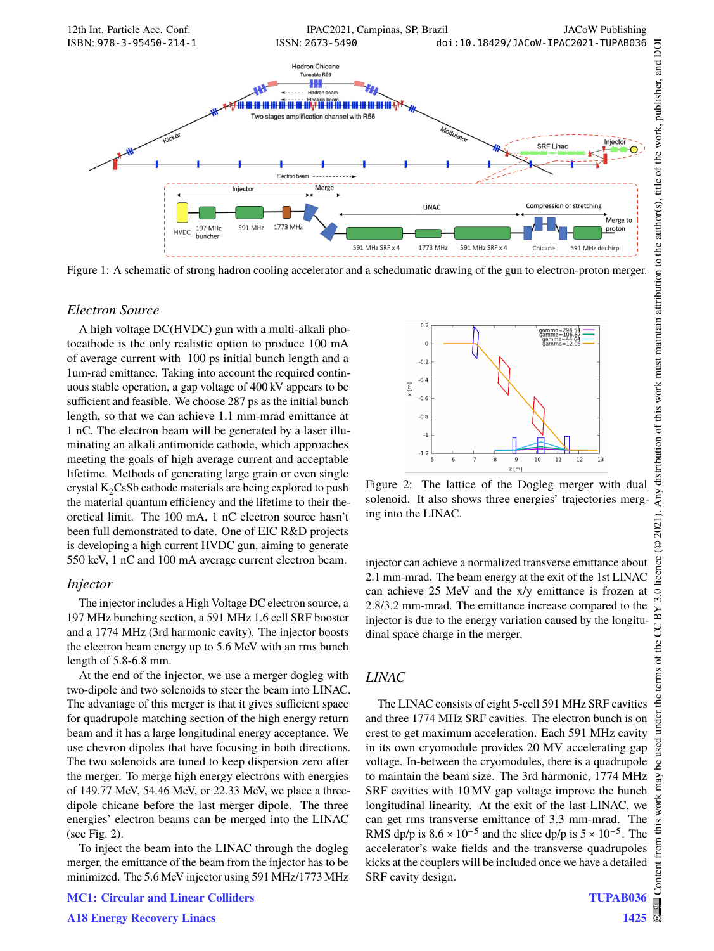

Figure 1: A schematic of strong hadron cooling accelerator and a schedumatic drawing of the gun to electron-proton merger.

#### *Electron Source*

A high voltage DC(HVDC) gun with a multi-alkali photocathode is the only realistic option to produce 100 mA of average current with 100 ps initial bunch length and a 1um-rad emittance. Taking into account the required continuous stable operation, a gap voltage of 400 kV appears to be sufficient and feasible. We choose 287 ps as the initial bunch length, so that we can achieve 1.1 mm-mrad emittance at 1 nC. The electron beam will be generated by a laser illuminating an alkali antimonide cathode, which approaches meeting the goals of high average current and acceptable lifetime. Methods of generating large grain or even single crystal  $K_2CsSb$  cathode materials are being explored to push the material quantum efficiency and the lifetime to their theoretical limit. The 100 mA, 1 nC electron source hasn't been full demonstrated to date. One of EIC R&D projects is developing a high current HVDC gun, aiming to generate 550 keV, 1 nC and 100 mA average current electron beam.

#### *Injector*

The injector includes a High Voltage DC electron source, a 197 MHz bunching section, a 591 MHz 1.6 cell SRF booster and a 1774 MHz (3rd harmonic cavity). The injector boosts the electron beam energy up to 5.6 MeV with an rms bunch length of 5.8-6.8 mm.

At the end of the injector, we use a merger dogleg with two-dipole and two solenoids to steer the beam into LINAC. The advantage of this merger is that it gives sufficient space for quadrupole matching section of the high energy return beam and it has a large longitudinal energy acceptance. We use chevron dipoles that have focusing in both directions. The two solenoids are tuned to keep dispersion zero after the merger. To merge high energy electrons with energies of 149.77 MeV, 54.46 MeV, or 22.33 MeV, we place a threedipole chicane before the last merger dipole. The three energies' electron beams can be merged into the LINAC (see Fig. 2).

To inject the beam into the LINAC through the dogleg merger, the emittance of the beam from the injector has to be minimized. The 5.6 MeV injector using 591 MHz/1773 MHz



Figure 2: The lattice of the Dogleg merger with dual solenoid. It also shows three energies' trajectories merging into the LINAC.

injector can achieve a normalized transverse emittance about 2.1 mm-mrad. The beam energy at the exit of the 1st LINAC can achieve 25 MeV and the x/y emittance is frozen at 2.8/3.2 mm-mrad. The emittance increase compared to the injector is due to the energy variation caused by the longitudinal space charge in the merger.

#### *LINAC*

The LINAC consists of eight 5-cell 591 MHz SRF cavities and three 1774 MHz SRF cavities. The electron bunch is on crest to get maximum acceleration. Each 591 MHz cavity in its own cryomodule provides 20 MV accelerating gap voltage. In-between the cryomodules, there is a quadrupole to maintain the beam size. The 3rd harmonic, 1774 MHz SRF cavities with 10 MV gap voltage improve the bunch longitudinal linearity. At the exit of the last LINAC, we can get rms transverse emittance of 3.3 mm-mrad. The RMS dp/p is  $8.6 \times 10^{-5}$  and the slice dp/p is  $5 \times 10^{-5}$ . The accelerator's wake fields and the transverse quadrupoles kicks at the couplers will be included once we have a detailed SRF cavity design.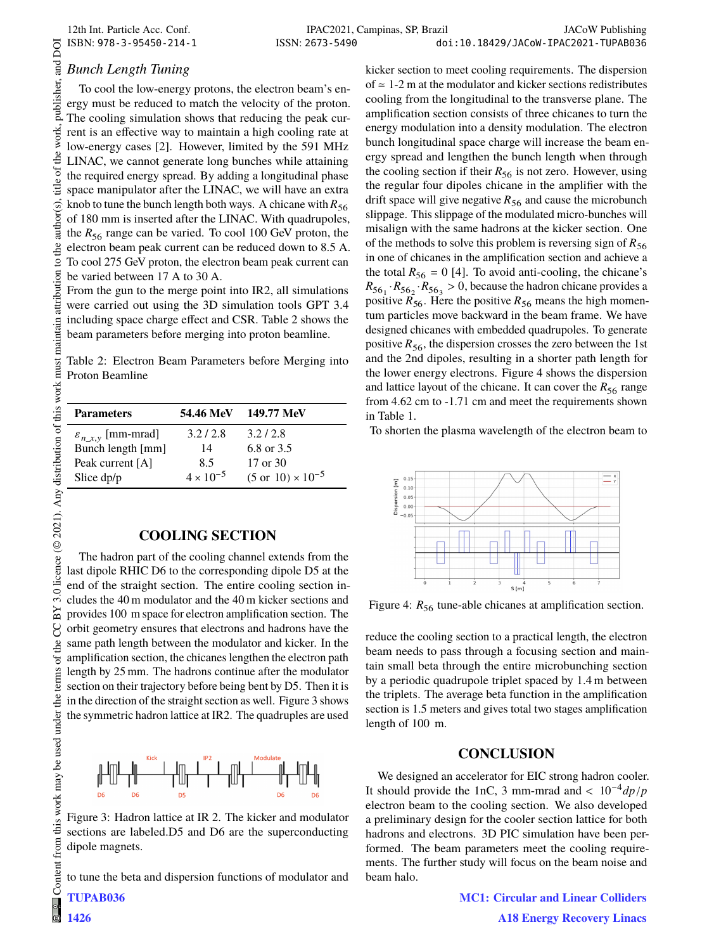## *Bunch Length Tuning*

To cool the low-energy protons, the electron beam's energy must be reduced to match the velocity of the proton. The cooling simulation shows that reducing the peak current is an effective way to maintain a high cooling rate at low-energy cases [2]. However, limited by the 591 MHz LINAC, we cannot generate long bunches while attaining the required energy spread. By adding a longitudinal phase space manipulator after the LINAC, we will have an extra knob to tune the bunch length both ways. A chicane with  $R_{56}$ of 180 mm is inserted after the LINAC. With quadrupoles, the  $R_{56}$  range can be varied. To cool 100 GeV proton, the electron beam peak current can be reduced down to 8.5 A. To cool 275 GeV proton, the electron beam peak current can be varied between 17 A to 30 A.

From the gun to the merge point into IR2, all simulations were carried out using the 3D simulation tools GPT 3.4 including space charge effect and CSR. Table 2 shows the beam parameters before merging into proton beamline.

Table 2: Electron Beam Parameters before Merging into Proton Beamline

| <b>Parameters</b>               | 54.46 MeV          | 149.77 MeV                          |
|---------------------------------|--------------------|-------------------------------------|
| $\varepsilon_{n_x,y}$ [mm-mrad] | 3.2/2.8            | 3.2/2.8                             |
| Bunch length [mm]               | 14                 | 6.8 or 3.5                          |
| Peak current [A]                | 8.5                | 17 or 30                            |
| Slice dp/p                      | $4 \times 10^{-5}$ | $(5 \text{ or } 10) \times 10^{-5}$ |

## **COOLING SECTION**

The hadron part of the cooling channel extends from the last dipole RHIC D6 to the corresponding dipole D5 at the end of the straight section. The entire cooling section includes the 40 m modulator and the 40 m kicker sections and provides 100 m space for electron amplification section. The orbit geometry ensures that electrons and hadrons have the same path length between the modulator and kicker. In the amplification section, the chicanes lengthen the electron path length by 25 mm. The hadrons continue after the modulator section on their trajectory before being bent by D5. Then it is in the direction of the straight section as well. Figure 3 shows the symmetric hadron lattice at IR2. The quadruples are used



Figure 3: Hadron lattice at IR 2. The kicker and modulator sections are labeled.D5 and D6 are the superconducting dipole magnets.

to tune the beta and dispersion functions of modulator and

TUPAB036

1426

kicker section to meet cooling requirements. The dispersion of  $\approx$  1-2 m at the modulator and kicker sections redistributes cooling from the longitudinal to the transverse plane. The amplification section consists of three chicanes to turn the energy modulation into a density modulation. The electron bunch longitudinal space charge will increase the beam energy spread and lengthen the bunch length when through the cooling section if their  $R_{56}$  is not zero. However, using the regular four dipoles chicane in the amplifier with the drift space will give negative  $R_{56}$  and cause the microbunch slippage. This slippage of the modulated micro-bunches will misalign with the same hadrons at the kicker section. One of the methods to solve this problem is reversing sign of  $R_{56}$ in one of chicanes in the amplification section and achieve a the total  $R_{56} = 0$  [4]. To avoid anti-cooling, the chicane's  $R_{56_1} \cdot R_{56_2} \cdot R_{56_3} > 0$ , because the hadron chicane provides a positive  $R_{56}$ . Here the positive  $R_{56}$  means the high momentum particles move backward in the beam frame. We have designed chicanes with embedded quadrupoles. To generate positive  $R_{56}$ , the dispersion crosses the zero between the 1st and the 2nd dipoles, resulting in a shorter path length for the lower energy electrons. Figure 4 shows the dispersion and lattice layout of the chicane. It can cover the  $R_{56}$  range from 4.62 cm to -1.71 cm and meet the requirements shown in Table 1.

To shorten the plasma wavelength of the electron beam to



Figure 4:  $R_{56}$  tune-able chicanes at amplification section.

reduce the cooling section to a practical length, the electron beam needs to pass through a focusing section and maintain small beta through the entire microbunching section by a periodic quadrupole triplet spaced by 1.4 m between the triplets. The average beta function in the amplification section is 1.5 meters and gives total two stages amplification length of 100 m.

### **CONCLUSION**

We designed an accelerator for EIC strong hadron cooler. It should provide the 1nC, 3 mm-mrad and <  $10^{-4}dp/p$ electron beam to the cooling section. We also developed a preliminary design for the cooler section lattice for both hadrons and electrons. 3D PIC simulation have been performed. The beam parameters meet the cooling requirements. The further study will focus on the beam noise and beam halo.

> MC1: Circular and Linear Colliders A18 Energy Recovery Linacs